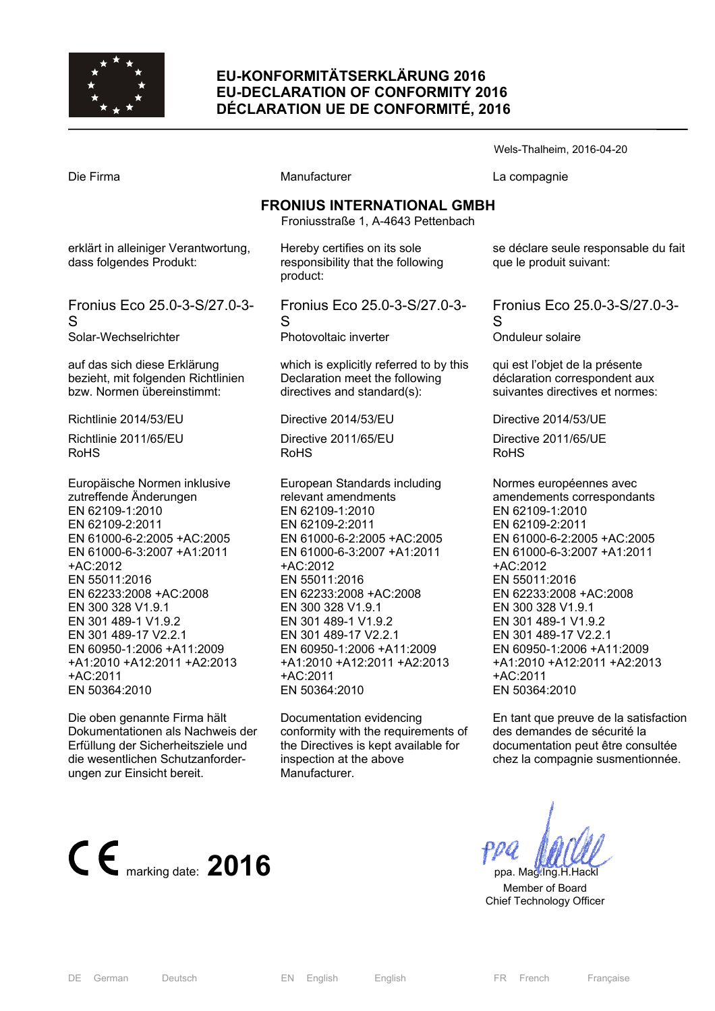

# **EU-KONFORMITÄTSERKLÄRUNG 2016 EU-DECLARATION OF CONFORMITY 2016 DÉCLARATION UE DE CONFORMITÉ, 2016**

Die Firma **Manufacturer** Manufacturer La compagnie **FRONIUS INTERNATIONAL GMBH**  Froniusstraße 1, A-4643 Pettenbach erklärt in alleiniger Verantwortung, dass folgendes Produkt: Fronius Eco 25.0-3-S/27.0-3- S Solar-Wechselrichter auf das sich diese Erklärung bezieht, mit folgenden Richtlinien bzw. Normen übereinstimmt: Richtlinie 2014/53/EU Richtlinie 2011/65/EU RoHS Europäische Normen inklusive zutreffende Änderungen EN 62109-1:2010 EN 62109-2:2011 EN 61000-6-2:2005 +AC:2005 EN 61000-6-3:2007 +A1:2011 +AC:2012 EN 55011:2016 EN 62233:2008 +AC:2008 EN 300 328 V1.9.1 EN 301 489-1 V1.9.2 EN 301 489-17 V2.2.1 EN 60950-1:2006 +A11:2009 +A1:2010 +A12:2011 +A2:2013 +AC:2011 EN 50364:2010 Hereby certifies on its sole responsibility that the following product: Fronius Eco 25.0-3-S/27.0-3- S Photovoltaic inverter which is explicitly referred to by this Declaration meet the following directives and standard(s): Directive 2014/53/EU Directive 2011/65/EU RoHS European Standards including relevant amendments EN 62109-1:2010 EN 62109-2:2011 EN 61000-6-2:2005 +AC:2005 EN 61000-6-3:2007 +A1:2011 +AC:2012 EN 55011:2016 EN 62233:2008 +AC:2008 EN 300 328 V1.9.1 EN 301 489-1 V1.9.2 EN 301 489-17 V2.2.1 EN 60950-1:2006 +A11:2009 +A1:2010 +A12:2011 +A2:2013 +AC:2011 EN 50364:2010 se déclare seule responsable du fait que le produit suivant: Fronius Eco 25.0-3-S/27.0-3-  $\mathbf{S}$ Onduleur solaire qui est l'objet de la présente déclaration correspondent aux suivantes directives et normes: Directive 2014/53/UE Directive 2011/65/UE RoHS Normes européennes avec amendements correspondants EN 62109-1:2010 EN 62109-2:2011 EN 61000-6-2:2005 +AC:2005 EN 61000-6-3:2007 +A1:2011 +AC:2012 EN 55011:2016 EN 62233:2008 +AC:2008 EN 300 328 V1.9.1 EN 301 489-1 V1.9.2 EN 301 489-17 V2.2.1 EN 60950-1:2006 +A11:2009 +A1:2010 +A12:2011 +A2:2013 +AC:2011 EN 50364:2010

Die oben genannte Firma hält Dokumentationen als Nachweis der Erfüllung der Sicherheitsziele und die wesentlichen Schutzanforderungen zur Einsicht bereit.

En tant que preuve de la satisfaction des demandes de sécurité la documentation peut être consultée chez la compagnie susmentionnée.



 Member of Board Chief Technology Officer

Wels-Thalheim, 2016-04-20

Documentation evidencing conformity with the requirements of the Directives is kept available for inspection at the above Manufacturer.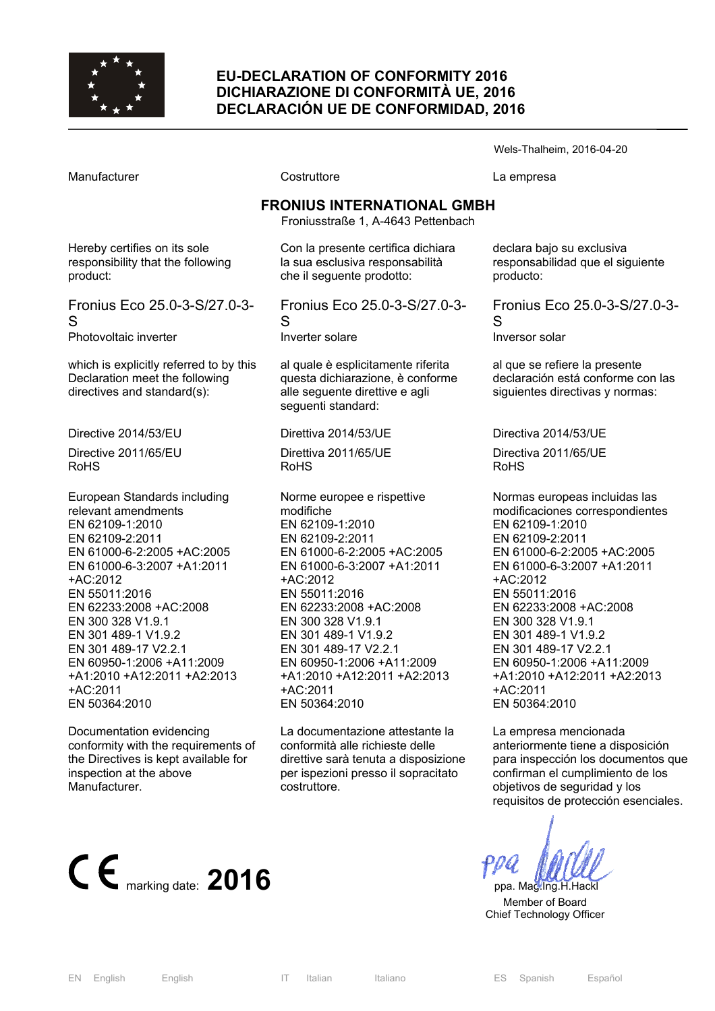

### **EU-DECLARATION OF CONFORMITY 2016 DICHIARAZIONE DI CONFORMITÀ UE, 2016 DECLARACIÓN UE DE CONFORMIDAD, 2016**

|                                                                                                                                                                                                                                                                                                                                                                           |                                                                                                                                                                                                                                                                                                                                                               | Wels-Thalheim, 2016-04-20                                                                                                                                                                                                                                                                                                                                                              |  |
|---------------------------------------------------------------------------------------------------------------------------------------------------------------------------------------------------------------------------------------------------------------------------------------------------------------------------------------------------------------------------|---------------------------------------------------------------------------------------------------------------------------------------------------------------------------------------------------------------------------------------------------------------------------------------------------------------------------------------------------------------|----------------------------------------------------------------------------------------------------------------------------------------------------------------------------------------------------------------------------------------------------------------------------------------------------------------------------------------------------------------------------------------|--|
| Manufacturer                                                                                                                                                                                                                                                                                                                                                              | Costruttore                                                                                                                                                                                                                                                                                                                                                   | La empresa                                                                                                                                                                                                                                                                                                                                                                             |  |
| <b>FRONIUS INTERNATIONAL GMBH</b><br>Froniusstraße 1, A-4643 Pettenbach                                                                                                                                                                                                                                                                                                   |                                                                                                                                                                                                                                                                                                                                                               |                                                                                                                                                                                                                                                                                                                                                                                        |  |
| Hereby certifies on its sole<br>responsibility that the following<br>product:                                                                                                                                                                                                                                                                                             | Con la presente certifica dichiara<br>la sua esclusiva responsabilità<br>che il seguente prodotto:                                                                                                                                                                                                                                                            | declara bajo su exclusiva<br>responsabilidad que el siguiente<br>producto:                                                                                                                                                                                                                                                                                                             |  |
| Fronius Eco 25.0-3-S/27.0-3-<br>S<br>Photovoltaic inverter                                                                                                                                                                                                                                                                                                                | Fronius Eco 25.0-3-S/27.0-3-<br>S<br>Inverter solare                                                                                                                                                                                                                                                                                                          | Fronius Eco 25.0-3-S/27.0-3-<br>S<br>Inversor solar                                                                                                                                                                                                                                                                                                                                    |  |
| which is explicitly referred to by this<br>Declaration meet the following<br>directives and standard(s):                                                                                                                                                                                                                                                                  | al quale è esplicitamente riferita<br>questa dichiarazione, è conforme<br>alle seguente direttive e agli<br>seguenti standard:                                                                                                                                                                                                                                | al que se refiere la presente<br>declaración está conforme con las<br>siguientes directivas y normas:                                                                                                                                                                                                                                                                                  |  |
| Directive 2014/53/EU                                                                                                                                                                                                                                                                                                                                                      | Direttiva 2014/53/UE                                                                                                                                                                                                                                                                                                                                          | Directiva 2014/53/UE                                                                                                                                                                                                                                                                                                                                                                   |  |
| Directive 2011/65/EU<br><b>RoHS</b>                                                                                                                                                                                                                                                                                                                                       | Direttiva 2011/65/UE<br><b>RoHS</b>                                                                                                                                                                                                                                                                                                                           | Directiva 2011/65/UE<br><b>RoHS</b>                                                                                                                                                                                                                                                                                                                                                    |  |
| European Standards including<br>relevant amendments<br>EN 62109-1:2010<br>EN 62109-2:2011<br>EN 61000-6-2:2005 +AC:2005<br>EN 61000-6-3:2007 +A1:2011<br>+AC:2012<br>EN 55011:2016<br>EN 62233:2008 +AC:2008<br>EN 300 328 V1.9.1<br>EN 301 489-1 V1.9.2<br>EN 301 489-17 V2.2.1<br>EN 60950-1:2006 +A11:2009<br>+A1:2010 +A12:2011 +A2:2013<br>+AC:2011<br>EN 50364:2010 | Norme europee e rispettive<br>modifiche<br>EN 62109-1:2010<br>EN 62109-2:2011<br>EN 61000-6-2:2005 +AC:2005<br>EN 61000-6-3:2007 +A1:2011<br>+AC:2012<br>EN 55011:2016<br>EN 62233:2008 +AC:2008<br>EN 300 328 V1.9.1<br>EN 301 489-1 V1.9.2<br>EN 301 489-17 V2.2.1<br>EN 60950-1:2006 +A11:2009<br>+A1:2010 +A12:2011 +A2:2013<br>+AC:2011<br>EN 50364:2010 | Normas europeas incluidas las<br>modificaciones correspondientes<br>EN 62109-1:2010<br>EN 62109-2:2011<br>EN 61000-6-2:2005 +AC:2005<br>EN 61000-6-3:2007 +A1:2011<br>+AC:2012<br>EN 55011:2016<br>EN 62233:2008 +AC:2008<br>EN 300 328 V1.9.1<br>EN 301 489-1 V1.9.2<br>EN 301 489-17 V2.2.1<br>EN 60950-1:2006 +A11:2009<br>+A1:2010 +A12:2011 +A2:2013<br>+AC:2011<br>EN 50364:2010 |  |
| Documentation evidencing                                                                                                                                                                                                                                                                                                                                                  | La documentazione attestante la                                                                                                                                                                                                                                                                                                                               | La empresa mencionada                                                                                                                                                                                                                                                                                                                                                                  |  |

conformity with the requirements of the Directives is kept available for inspection at the above Manufacturer.

conformità alle richieste delle direttive sarà tenuta a disposizione per ispezioni presso il sopracitato costruttore.



 Member of Board Chief Technology Officer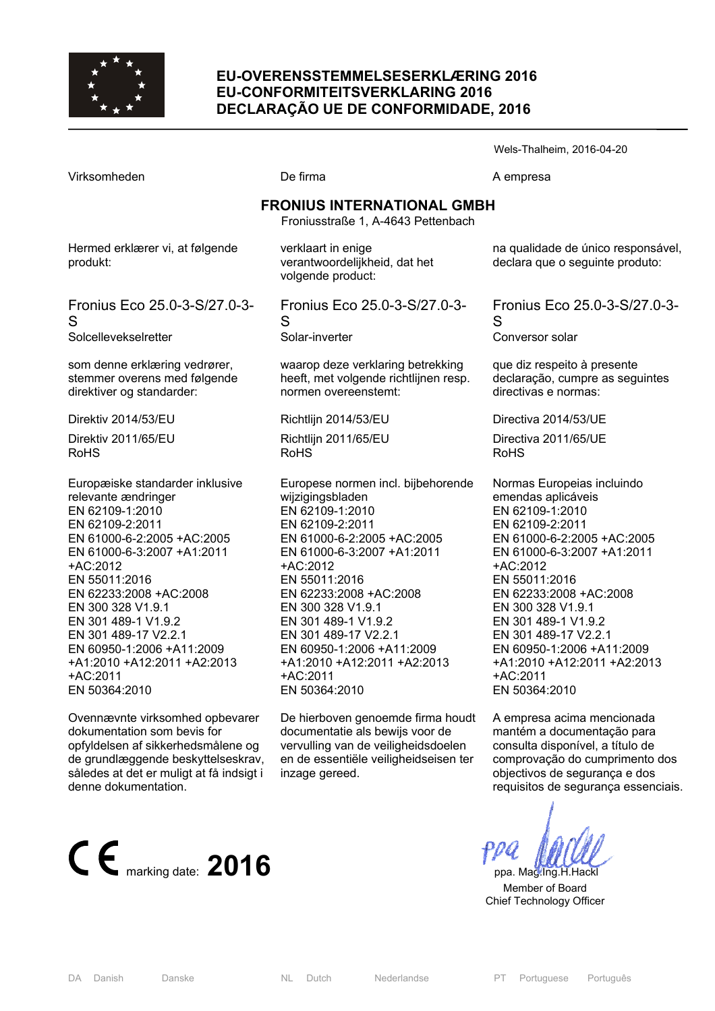

### **EU-OVERENSSTEMMELSESERKLÆRING 2016 EU-CONFORMITEITSVERKLARING 2016 DECLARAÇÃO UE DE CONFORMIDADE, 2016**

Wels-Thalheim, 2016-04-20 Virksomheden **De firma** De firma A empresa **FRONIUS INTERNATIONAL GMBH**  Froniusstraße 1, A-4643 Pettenbach Hermed erklærer vi, at følgende produkt: Fronius Eco 25.0-3-S/27.0-3- S Solcellevekselretter som denne erklæring vedrører, stemmer overens med følgende direktiver og standarder: Direktiv 2014/53/EU Direktiv 2011/65/EU RoHS Europæiske standarder inklusive relevante ændringer EN 62109-1:2010 EN 62109-2:2011 EN 61000-6-2:2005 +AC:2005 EN 61000-6-3:2007 +A1:2011 +AC:2012 EN 55011:2016 EN 62233:2008 +AC:2008 EN 300 328 V1.9.1 EN 301 489-1 V1.9.2 EN 301 489-17 V2.2.1 EN 60950-1:2006 +A11:2009 +A1:2010 +A12:2011 +A2:2013 +AC:2011 EN 50364:2010 Ovennævnte virksomhed opbevarer verklaart in enige verantwoordelijkheid, dat het volgende product: Fronius Eco 25.0-3-S/27.0-3- S Solar-inverter waarop deze verklaring betrekking heeft, met volgende richtlijnen resp. normen overeenstemt: Richtlijn 2014/53/EU Richtlijn 2011/65/EU RoHS Europese normen incl. bijbehorende wijzigingsbladen EN 62109-1:2010 EN 62109-2:2011 EN 61000-6-2:2005 +AC:2005 EN 61000-6-3:2007 +A1:2011 +AC:2012 EN 55011:2016 EN 62233:2008 +AC:2008 EN 300 328 V1.9.1 EN 301 489-1 V1.9.2 EN 301 489-17 V2.2.1 EN 60950-1:2006 +A11:2009 +A1:2010 +A12:2011 +A2:2013 +AC:2011 EN 50364:2010 De hierboven genoemde firma houdt declara que o seguinte produto:  $\mathbf{S}$ Conversor solar que diz respeito à presente directivas e normas: Directiva 2014/53/UE Directiva 2011/65/UE RoHS Normas Europeias incluindo emendas aplicáveis EN 62109-1:2010 EN 62109-2:2011 +AC:2012 EN 55011:2016 EN 62233:2008 +AC:2008 EN 300 328 V1.9.1 EN 301 489-1 V1.9.2 EN 301 489-17 V2.2.1 +AC:2011 EN 50364:2010

dokumentation som bevis for opfyldelsen af sikkerhedsmålene og de grundlæggende beskyttelseskrav, således at det er muligt at få indsigt i denne dokumentation.



documentatie als bewijs voor de vervulling van de veiligheidsdoelen en de essentiële veiligheidseisen ter inzage gereed.

na qualidade de único responsável,

Fronius Eco 25.0-3-S/27.0-3-

declaração, cumpre as seguintes

EN 61000-6-2:2005 +AC:2005 EN 61000-6-3:2007 +A1:2011 EN 60950-1:2006 +A11:2009 +A1:2010 +A12:2011 +A2:2013

A empresa acima mencionada mantém a documentação para consulta disponível, a título de comprovação do cumprimento dos objectivos de segurança e dos requisitos de segurança essenciais.

 Member of Board Chief Technology Officer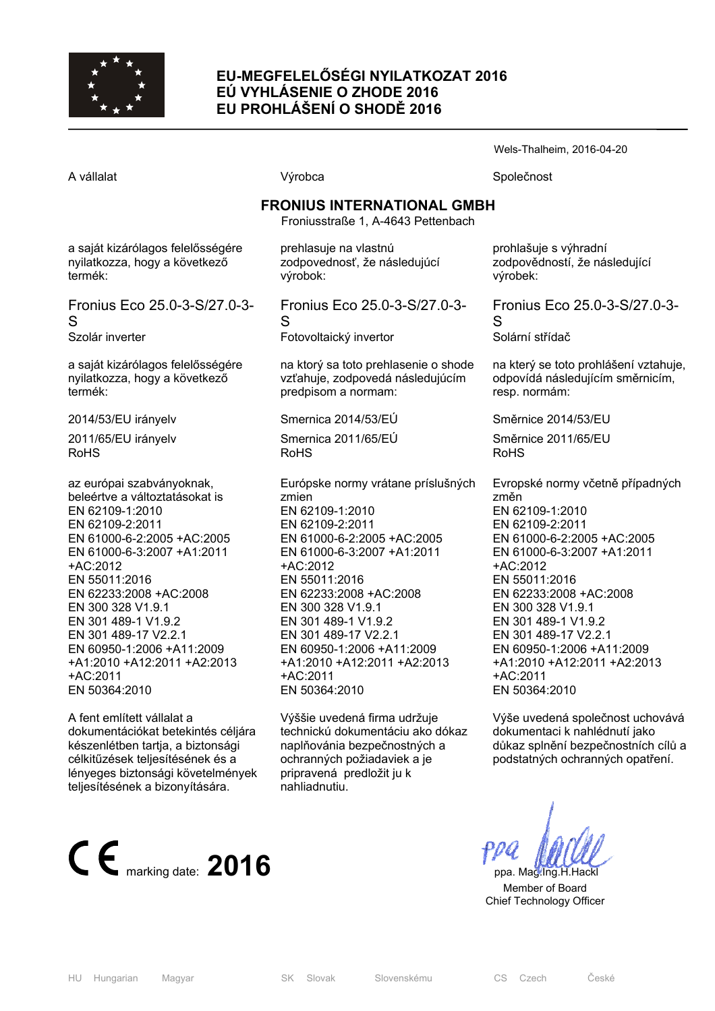

# **EU-MEGFELELŐSÉGI NYILATKOZAT 2016 EÚ VYHLÁSENIE O ZHODE 2016 EU PROHLÁŠENÍ O SHODĚ 2016**

S

Wels-Thalheim, 2016-04-20

A vállalat **A** vállalat Společnost **Výrobca** Společnost Společnost **FRONIUS INTERNATIONAL GMBH**  Froniusstraße 1, A-4643 Pettenbach a saját kizárólagos felelősségére nyilatkozza, hogy a következő termék: Fronius Eco 25.0-3-S/27.0-3- Szolár inverter a saját kizárólagos felelősségére nyilatkozza, hogy a következő termék: 2014/53/EU irányelv 2011/65/EU irányelv RoHS az európai szabványoknak, beleértve a változtatásokat is EN 62109-1:2010 EN 62109-2:2011 EN 61000-6-2:2005 +AC:2005 EN 61000-6-3:2007 +A1:2011 +AC:2012 EN 55011:2016 EN 62233:2008 +AC:2008 EN 300 328 V1.9.1 EN 301 489-1 V1.9.2 EN 301 489-17 V2.2.1 EN 60950-1:2006 +A11:2009 +A1:2010 +A12:2011 +A2:2013 +AC:2011 EN 50364:2010 A fent említett vállalat a prehlasuje na vlastnú zodpovednosť, že následujúcí výrobok: Fronius Eco 25.0-3-S/27.0-3- S Fotovoltaický invertor na ktorý sa toto prehlasenie o shode vzťahuje, zodpovedá následujúcím predpisom a normam: Smernica 2014/53/EÚ Smernica 2011/65/EÚ RoHS Európske normy vrátane príslušných zmien EN 62109-1:2010 EN 62109-2:2011 EN 61000-6-2:2005 +AC:2005 EN 61000-6-3:2007 +A1:2011 +AC:2012 EN 55011:2016 EN 62233:2008 +AC:2008 EN 300 328 V1.9.1 EN 301 489-1 V1.9.2 EN 301 489-17 V2.2.1 EN 60950-1:2006 +A11:2009 +A1:2010 +A12:2011 +A2:2013 +AC:2011 EN 50364:2010 prohlašuje s výhradní zodpovědností, že následující výrobek: Fronius Eco 25.0-3-S/27.0-3-  $\mathbf{S}$ Solární střídač na který se toto prohlášení vztahuje, odpovídá následujícím směrnicím, resp. normám: Směrnice 2014/53/EU Směrnice 2011/65/EU RoHS Evropské normy včetně případných změn EN 62109-1:2010 EN 62109-2:2011 EN 61000-6-2:2005 +AC:2005 EN 61000-6-3:2007 +A1:2011 +AC:2012 EN 55011:2016 EN 62233:2008 +AC:2008 EN 300 328 V1.9.1 EN 301 489-1 V1.9.2 EN 301 489-17 V2.2.1 EN 60950-1:2006 +A11:2009 +A1:2010 +A12:2011 +A2:2013 +AC:2011 EN 50364:2010 Výše uvedená společnost uchovává

Výššie uvedená firma udržuje technickú dokumentáciu ako dókaz naplňovánia bezpečnostných a ochranných požiadaviek a je pripravená predložit ju k nahliadnutiu.



 $\epsilon$  marking date: **2016 ppa.** Mag.Ing.H.Hack

 Member of Board Chief Technology Officer

dokumentációkat betekintés céljára készenlétben tartja, a biztonsági célkitűzések teljesítésének és a lényeges biztonsági követelmények teljesítésének a bizonyítására.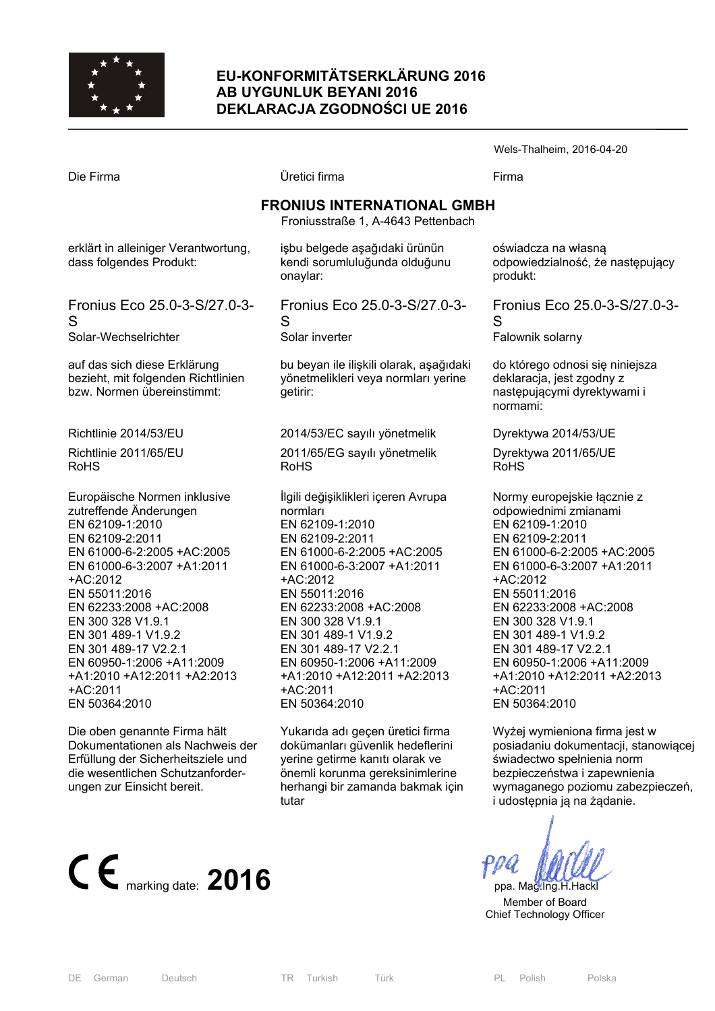

## **EU-KONFORMITÄTSERKLÄRUNG 2016 AB UYGUNLUK BEYANI 2016 DEKLARACJA ZGODNOŚCI UE 2016**

Die Firma Üretici firma Firma **FRONIUS INTERNATIONAL GMBH**  Froniusstraße 1, A-4643 Pettenbach erklärt in alleiniger Verantwortung, dass folgendes Produkt: Fronius Eco 25.0-3-S/27.0-3- S Solar-Wechselrichter auf das sich diese Erklärung bezieht, mit folgenden Richtlinien bzw. Normen übereinstimmt: Richtlinie 2014/53/EU Richtlinie 2011/65/EU RoHS Europäische Normen inklusive zutreffende Änderungen EN 62109-1:2010 EN 62109-2:2011 EN 61000-6-2:2005 +AC:2005 EN 61000-6-3:2007 +A1:2011 +AC:2012 EN 55011:2016 EN 62233:2008 +AC:2008 EN 300 328 V1.9.1 EN 301 489-1 V1.9.2 EN 301 489-17 V2.2.1 EN 60950-1:2006 +A11:2009 +A1:2010 +A12:2011 +A2:2013 +AC:2011 EN 50364:2010 işbu belgede aşağıdaki ürünün kendi sorumluluğunda olduğunu onaylar: Fronius Eco 25.0-3-S/27.0-3- S Solar inverter bu beyan ile ilişkili olarak, aşağıdaki yönetmelikleri veya normları yerine getirir: 2014/53/EC sayılı yönetmelik 2011/65/EG sayılı yönetmelik RoHS İlgili değişiklikleri içeren Avrupa normları EN 62109-1:2010 EN 62109-2:2011 EN 61000-6-2:2005 +AC:2005 EN 61000-6-3:2007 +A1:2011 +AC:2012 EN 55011:2016 EN 62233:2008 +AC:2008 EN 300 328 V1.9.1 EN 301 489-1 V1.9.2 EN 301 489-17 V2.2.1 EN 60950-1:2006 +A11:2009 +A1:2010 +A12:2011 +A2:2013 +AC:2011 EN 50364:2010 oświadcza na własną produkt:  $\mathbf{S}$ Falownik solarny deklaracja, jest zgodny z normami: Dyrektywa 2014/53/UE Dyrektywa 2011/65/UE RoHS odpowiednimi zmianami EN 62109-1:2010 EN 62109-2:2011 +AC:2012 EN 55011:2016 EN 62233:2008 +AC:2008 EN 300 328 V1.9.1 EN 301 489-1 V1.9.2 EN 301 489-17 V2.2.1 +AC:2011 EN 50364:2010

Die oben genannte Firma hält Dokumentationen als Nachweis der Erfüllung der Sicherheitsziele und die wesentlichen Schutzanforderungen zur Einsicht bereit.

 $\mathsf{C}\ \mathsf{E}$ <sub>marking date:</sub> 2016 **ppa.** Mag.Ing.H.Hackl

Yukarıda adı geçen üretici firma dokümanları güvenlik hedeflerini yerine getirme kanıtı olarak ve önemli korunma gereksinimlerine herhangi bir zamanda bakmak için tutar

odpowiedzialność, że następujący

Wels-Thalheim, 2016-04-20

Fronius Eco 25.0-3-S/27.0-3-

do którego odnosi się niniejsza następującymi dyrektywami i

Normy europejskie łącznie z EN 61000-6-2:2005 +AC:2005 EN 61000-6-3:2007 +A1:2011 EN 60950-1:2006 +A11:2009 +A1:2010 +A12:2011 +A2:2013

Wyżej wymieniona firma jest w posiadaniu dokumentacji, stanowiącej świadectwo spełnienia norm bezpieczeństwa i zapewnienia wymaganego poziomu zabezpieczeń, i udostępnia ją na żądanie.

 Member of Board Chief Technology Officer